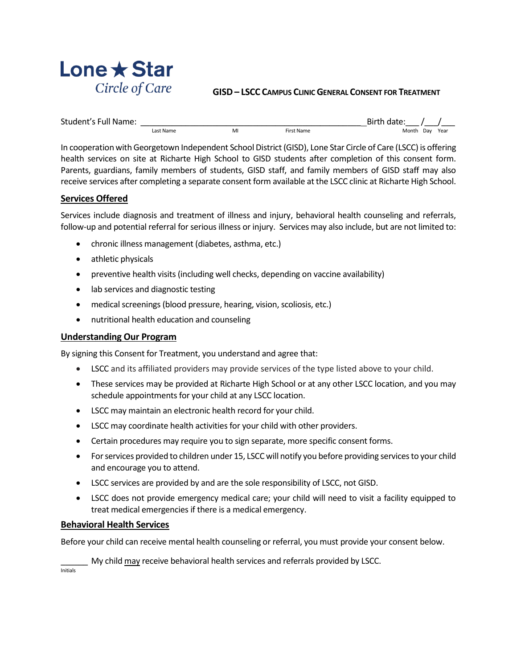

#### **GISD– LSCC CAMPUS CLINIC GENERAL CONSENT FOR TREATMENT**

| Student's Full Name: |           |   |                   | Birth date: |          |  |
|----------------------|-----------|---|-------------------|-------------|----------|--|
|                      | Last Name | M | <b>First Name</b> | Month       | Day Year |  |

In cooperation with Georgetown Independent School District (GISD), Lone Star Circle of Care (LSCC) is offering health services on site at Richarte High School to GISD students after completion of this consent form. Parents, guardians, family members of students, GISD staff, and family members of GISD staff may also receive services after completing a separate consent form available at the LSCC clinic at Richarte High School.

### **Services Offered**

Services include diagnosis and treatment of illness and injury, behavioral health counseling and referrals, follow-up and potential referral for serious illness or injury. Services may also include, but are not limited to:

- chronic illness management (diabetes, asthma, etc.)
- athletic physicals
- preventive health visits (including well checks, depending on vaccine availability)
- lab services and diagnostic testing
- medical screenings (blood pressure, hearing, vision, scoliosis, etc.)
- nutritional health education and counseling

#### **Understanding Our Program**

By signing this Consent for Treatment, you understand and agree that:

- LSCC and its affiliated providers may provide services of the type listed above to your child.
- These services may be provided at Richarte High School or at any other LSCC location, and you may schedule appointments for your child at any LSCC location.
- LSCC may maintain an electronic health record for your child.
- LSCC may coordinate health activities for your child with other providers.
- Certain procedures may require you to sign separate, more specific consent forms.
- For services provided to children under 15, LSCC will notify you before providing services to your child and encourage you to attend.
- LSCC services are provided by and are the sole responsibility of LSCC, not GISD.
- LSCC does not provide emergency medical care; your child will need to visit a facility equipped to treat medical emergencies if there is a medical emergency.

#### **Behavioral Health Services**

Before your child can receive mental health counseling or referral, you must provide your consent below.

My child may receive behavioral health services and referrals provided by LSCC.

**Initials**